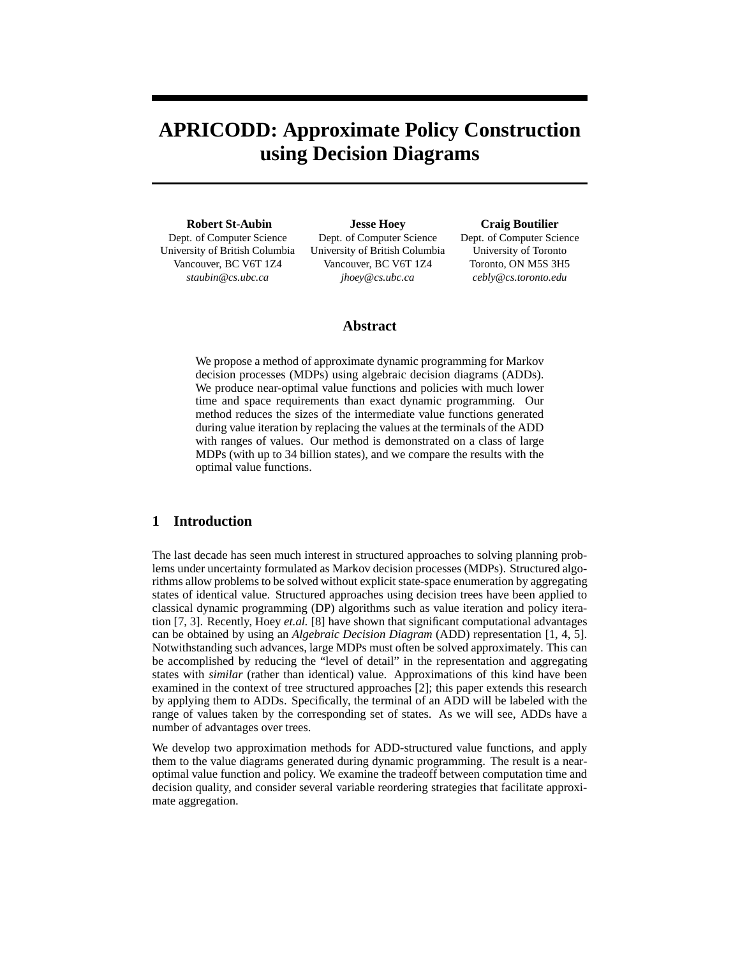# **APRICODD: Approximate Policy Construction using Decision Diagrams**

**Robert St-Aubin** Dept. of Computer Science University of British Columbia Vancouver, BC V6T 1Z4 *staubin@cs.ubc.ca*

**Jesse Hoey** Dept. of Computer Science University of British Columbia Vancouver, BC V6T 1Z4 *jhoey@cs.ubc.ca*

**Craig Boutilier**

Dept. of Computer Science University of Toronto Toronto, ON M5S 3H5 *cebly@cs.toronto.edu*

# **Abstract**

We propose a method of approximate dynamic programming for Markov decision processes (MDPs) using algebraic decision diagrams (ADDs). We produce near-optimal value functions and policies with much lower time and space requirements than exact dynamic programming. Our method reduces the sizes of the intermediate value functions generated during value iteration by replacing the values at the terminals of the ADD with ranges of values. Our method is demonstrated on a class of large MDPs (with up to 34 billion states), and we compare the results with the optimal value functions.

# **1 Introduction**

The last decade has seen much interest in structured approaches to solving planning problems under uncertainty formulated as Markov decision processes (MDPs). Structured algorithms allow problems to be solved without explicit state-space enumeration by aggregating states of identical value. Structured approaches using decision trees have been applied to classical dynamic programming (DP) algorithms such as value iteration and policy iteration [7, 3]. Recently, Hoey *et.al.* [8] have shown that significant computational advantages can be obtained by using an *Algebraic Decision Diagram* (ADD) representation [1, 4, 5]. Notwithstanding such advances, large MDPs must often be solved approximately. This can be accomplished by reducing the "level of detail" in the representation and aggregating states with *similar* (rather than identical) value. Approximations of this kind have been examined in the context of tree structured approaches [2]; this paper extends this research by applying them to ADDs. Specifically, the terminal of an ADD will be labeled with the range of values taken by the corresponding set of states. As we will see, ADDs have a number of advantages over trees.

We develop two approximation methods for ADD-structured value functions, and apply them to the value diagrams generated during dynamic programming. The result is a nearoptimal value function and policy. We examine the tradeoff between computation time and decision quality, and consider several variable reordering strategies that facilitate approximate aggregation.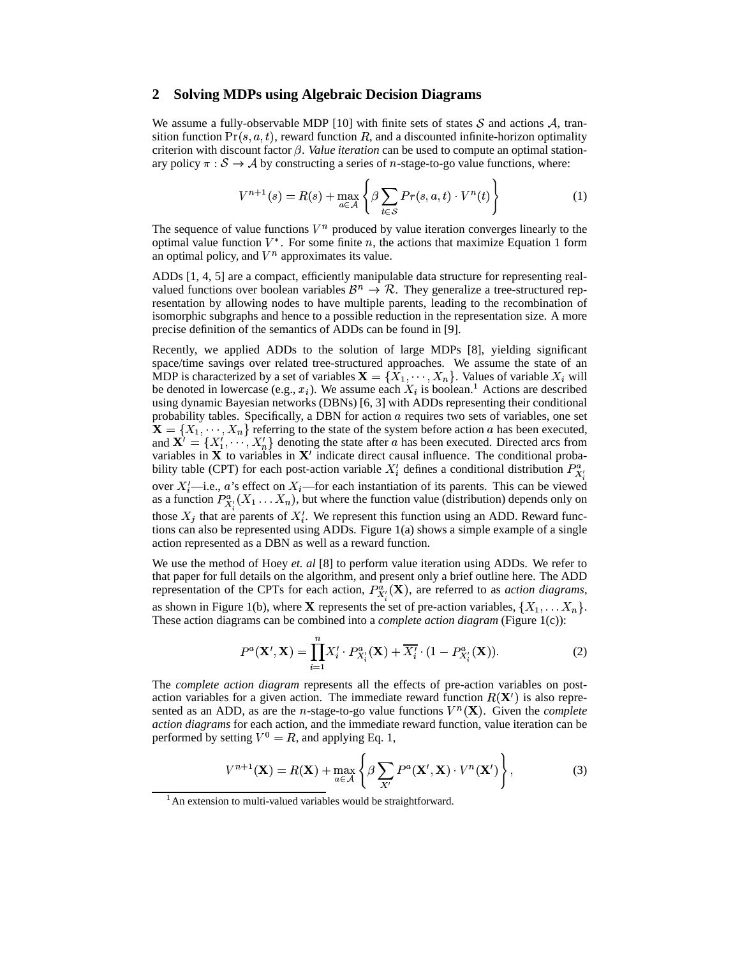### **2 Solving MDPs using Algebraic Decision Diagrams**

We assume a fully-observable MDP [10] with finite sets of states  $S$  and actions  $A$ , transition function  $Pr(s, a, t)$ , reward function R, and a discounted infinite-horizon optimality criterion with discount factor  $\beta$ . *Value iteration* can be used to compute an optimal stationary policy  $\pi : \mathcal{S} \to \mathcal{A}$  by constructing a series of *n*-stage-to-go value functions, where:

$$
V^{n+1}(s) = R(s) + \max_{a \in \mathcal{A}} \left\{ \beta \sum_{t \in \mathcal{S}} Pr(s, a, t) \cdot V^n(t) \right\} \tag{1}
$$

The sequence of value functions  $V^n$  produced by value iteration converges linearly to the optimal value function  $V^*$ . For some finite n, the actions that maximize Equation 1 form an optimal policy, and  $V^n$  approximates its value.

ADDs [1, 4, 5] are a compact, efficiently manipulable data structure for representing realvalued functions over boolean variables  $\mathcal{B}^n \to \mathcal{R}$ . They generalize a tree-structured representation by allowing nodes to have multiple parents, leading to the recombination of isomorphic subgraphs and hence to a possible reduction in the representation size. A more precise definition of the semantics of ADDs can be found in [9].

Recently, we applied ADDs to the solution of large MDPs [8], yielding significant space/time savings over related tree-structured approaches. We assume the state of an MDP is characterized by a set of variables  $\mathbf{X} = \{X_1, \dots, X_n\}$ . Values of variable  $X_i$  will be denoted in lowercase (e.g.,  $x_i$ ). We assume each  $X_i$  is boolean.<sup>1</sup> Actions are described using dynamic Bayesian networks (DBNs) [6, 3] with ADDs representing their conditional probability tables. Specifically, a DBN for action  $a$  requires two sets of variables, one set  $\mathbf{X} = \{X_1, \dots, X_n\}$  referring to the state of the system before action a has been executed, and  $X' = \{X'_1, \dots, X'_n\}$  denoting the state after a has been executed. Directed arcs from variables in  $X$  to variables in  $X'$  indicate direct causal influence. The conditional probability table (CPT) for each post-action variable  $X_i$  defines a conditional distribution  $P_{X_i}^{\alpha}$ over  $X_i'$ —i.e., a's effect on  $X_i$ —for each instantiation of its parents. This can be viewed as a function  $P_{\mathbf{x}'}^{\alpha}(X_1 \ldots X_n)$ , but where the function value (distribution) depends only on those  $X_i$  that are parents of  $X_i'$ . We represent this function using an ADD. Reward functions can also be represented using ADDs. Figure 1(a) shows a simple example of a single action represented as a DBN as well as a reward function.

We use the method of Hoey *et. al* [8] to perform value iteration using ADDs. We refer to that paper for full details on the algorithm, and present only a brief outline here. The ADD representation of the CPTs for each action,  $P_{\mathbf{x}'}^{\alpha}(\mathbf{X})$ , are referred to as *action diagrams*, as shown in Figure 1(b), where **X** represents the set of pre-action variables,  $\{X_1, \ldots, X_n\}$ . These action diagrams can be combined into a *complete action diagram* (Figure 1(c)):

$$
P^{a}(\mathbf{X}', \mathbf{X}) = \prod_{i=1}^{n} X'_{i} \cdot P^{a}_{X'_{i}}(\mathbf{X}) + \overline{X'_{i}} \cdot (1 - P^{a}_{X'_{i}}(\mathbf{X})).
$$
\n(2)

The *complete action diagram* represents all the effects of pre-action variables on postaction variables for a given action. The immediate reward function  $R(\mathbf{X}')$  is also represented as an ADD, as are the *n*-stage-to-go value functions  $V^n(\mathbf{X})$ . Given the *complete action diagrams* for each action, and the immediate reward function, value iteration can be performed by setting  $V^0 = R$ , and applying Eq. 1,

$$
V^{n+1}(\mathbf{X}) = R(\mathbf{X}) + \max_{a \in \mathcal{A}} \left\{ \beta \sum_{X'} P^a(\mathbf{X}', \mathbf{X}) \cdot V^n(\mathbf{X}') \right\},\tag{3}
$$

<sup>&</sup>lt;sup>1</sup> An extension to multi-valued variables would be straightforward.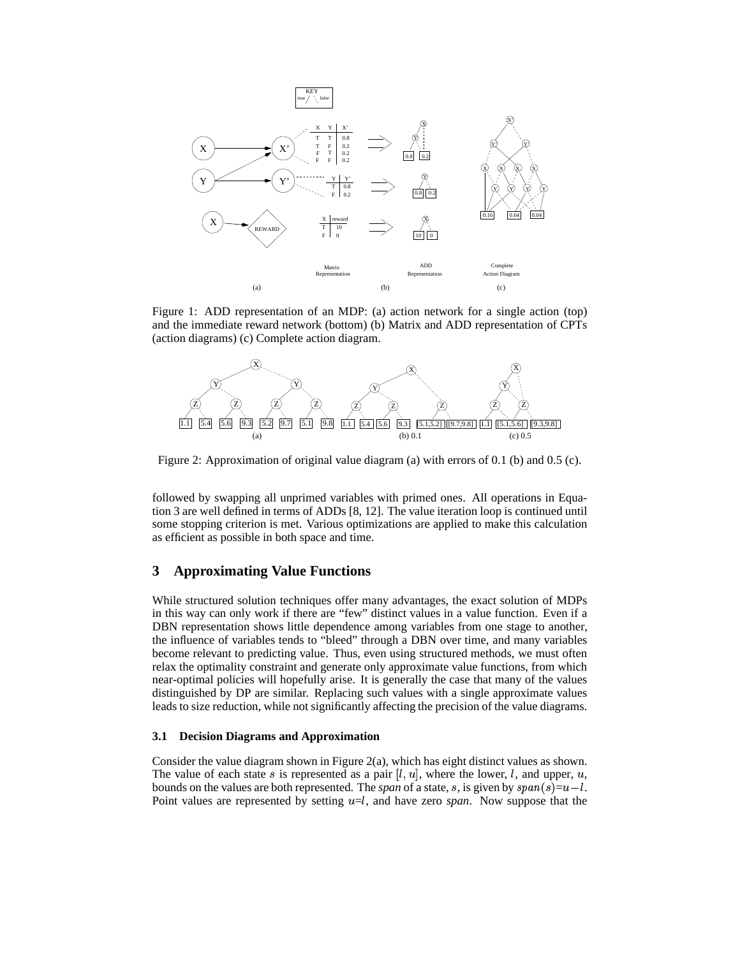

Figure 1: ADD representation of an MDP: (a) action network for a single action (top) and the immediate reward network (bottom) (b) Matrix and ADD representation of CPTs (action diagrams) (c) Complete action diagram.



Figure 2: Approximation of original value diagram (a) with errors of 0.1 (b) and 0.5 (c).

followed by swapping all unprimed variables with primed ones. All operations in Equation 3 are well defined in terms of ADDs [8, 12]. The value iteration loop is continued until some stopping criterion is met. Various optimizations are applied to make this calculation as efficient as possible in both space and time.

# **3 Approximating Value Functions**

While structured solution techniques offer many advantages, the exact solution of MDPs in this way can only work if there are "few" distinct values in a value function. Even if a DBN representation shows little dependence among variables from one stage to another, the influence of variables tends to "bleed" through a DBN over time, and many variables become relevant to predicting value. Thus, even using structured methods, we must often relax the optimality constraint and generate only approximate value functions, from which near-optimal policies will hopefully arise. It is generally the case that many of the values distinguished by DP are similar. Replacing such values with a single approximate values leads to size reduction, while not significantly affecting the precision of the value diagrams.

#### **3.1 Decision Diagrams and Approximation**

Consider the value diagram shown in Figure 2(a), which has eight distinct values as shown. The value of each state s is represented as a pair  $[l, u]$ , where the lower, l, and upper, u, bounds on the values are both represented. The *span* of a state, s, is given by  $span(s)=u-l$ . Point values are represented by setting  $u=l$ , and have zero *span*. Now suppose that the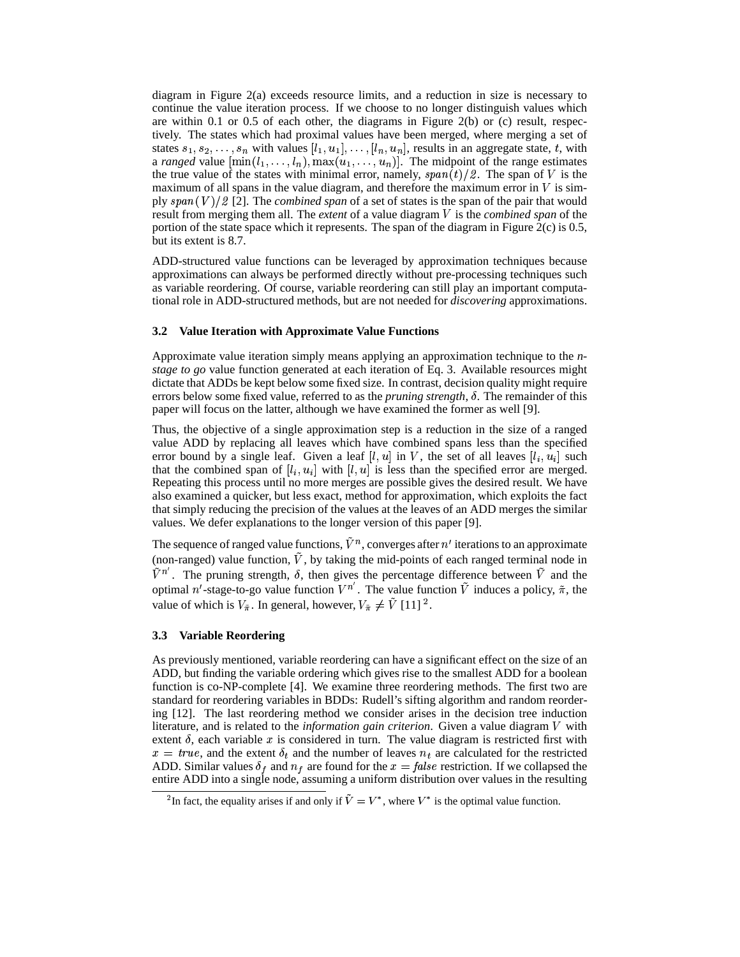diagram in Figure 2(a) exceeds resource limits, and a reduction in size is necessary to continue the value iteration process. If we choose to no longer distinguish values which are within 0.1 or 0.5 of each other, the diagrams in Figure 2(b) or (c) result, respectively. The states which had proximal values have been merged, where merging a set of states  $s_1, s_2, \ldots, s_n$  with values  $[l_1, u_1], \ldots, [l_n, u_n]$ , results in an aggregate state, t, with a *ranged* value  $[\min(l_1, \ldots, l_n), \max(u_1, \ldots, u_n)]$ . The midpoint of the range estimates the true value of the states with minimal error, namely,  $span(t)/2$ . The span of V is the maximum of all spans in the value diagram, and therefore the maximum error in  $V$  is simply  $span(V)/2$  [2]. The *combined span* of a set of states is the span of the pair that would result from merging them all. The *extent* of a value diagram V is the *combined span* of the portion of the state space which it represents. The span of the diagram in Figure 2(c) is 0.5, but its extent is 8.7.

ADD-structured value functions can be leveraged by approximation techniques because approximations can always be performed directly without pre-processing techniques such as variable reordering. Of course, variable reordering can still play an important computational role in ADD-structured methods, but are not needed for *discovering* approximations.

#### **3.2 Value Iteration with Approximate Value Functions**

Approximate value iteration simply means applying an approximation technique to the *nstage to go* value function generated at each iteration of Eq. 3. Available resources might dictate that ADDs be kept below some fixed size. In contrast, decision quality might require errors below some fixed value, referred to as the *pruning strength*,  $\delta$ . The remainder of this paper will focus on the latter, although we have examined the former as well [9].

Thus, the objective of a single approximation step is a reduction in the size of a ranged value ADD by replacing all leaves which have combined spans less than the specified error bound by a single leaf. Given a leaf  $[l, u]$  in V, the set of all leaves  $[l_i, u_i]$  such that the combined span of  $[l_i, u_i]$  with  $[l, u]$  is less than the specified error are merged. Repeating this process until no more merges are possible gives the desired result. We have also examined a quicker, but less exact, method for approximation, which exploits the fact that simply reducing the precision of the values at the leaves of an ADD merges the similar values. We defer explanations to the longer version of this paper [9].

The sequence of ranged value functions,  $V^n$ , converges after  $n'$  iterations to an approximate (non-ranged) value function,  $V$ , by taking the mid-points of each ranged terminal node in  $\tilde{V}^{n'}$ . The pruning strength,  $\delta$ , then gives the percentage difference between  $\tilde{V}$  and the optimal n'-stage-to-go value function  $V^{n'}$ . The value function  $\tilde{V}$  induces a policy,  $\tilde{\pi}$ , the value of which is  $V_{\tilde{\pi}}$ . In general, however,  $V_{\tilde{\pi}} \neq V$  [11] <sup>2</sup>.

#### **3.3 Variable Reordering**

As previously mentioned, variable reordering can have a significant effect on the size of an ADD, but finding the variable ordering which gives rise to the smallest ADD for a boolean function is co-NP-complete [4]. We examine three reordering methods. The first two are standard for reordering variables in BDDs: Rudell's sifting algorithm and random reordering [12]. The last reordering method we consider arises in the decision tree induction literature, and is related to the *information gain criterion*. Given a value diagram V with extent  $\delta$ , each variable x is considered in turn. The value diagram is restricted first with  $x = true$ , and the extent  $\delta_t$  and the number of leaves  $n_t$  are calculated for the restricted ADD. Similar values  $\delta_f$  and  $n_f$  are found for the  $x = false$  restriction. If we collapsed the entire ADD into a single node, assuming a uniform distribution over values in the resulting

<sup>&</sup>lt;sup>2</sup>In fact, the equality arises if and only if  $\tilde{V} = V^*$ , where  $V^*$  is the optimal value function.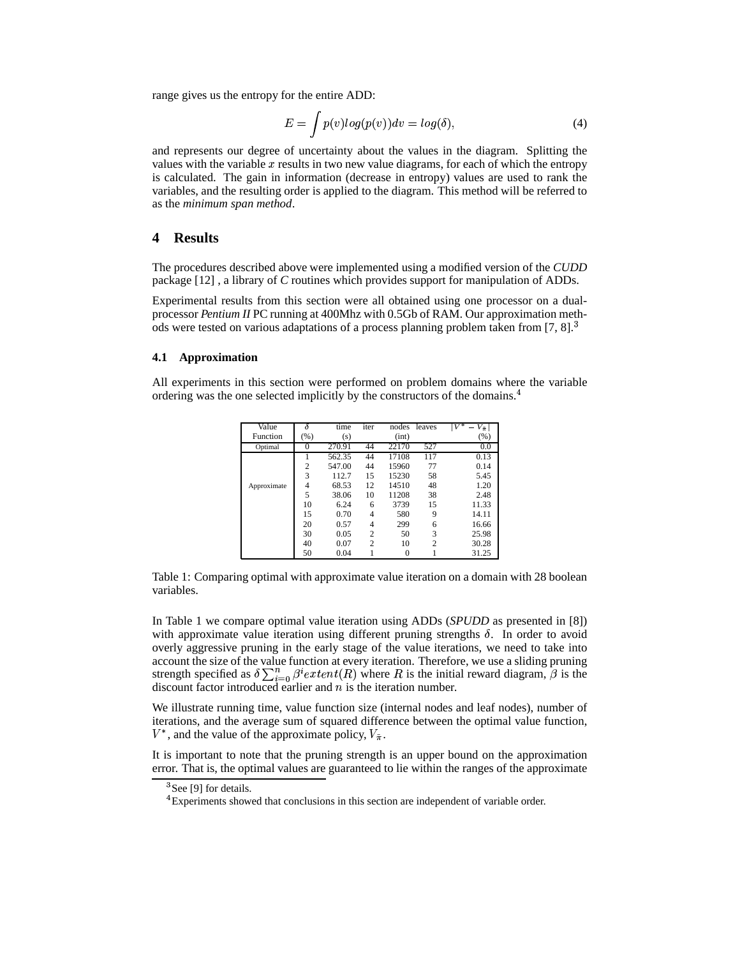range gives us the entropy for the entire ADD:

$$
E = \int p(v)log(p(v))dv = log(\delta), \qquad (4)
$$

and represents our degree of uncertainty about the values in the diagram. Splitting the values with the variable  $x$  results in two new value diagrams, for each of which the entropy is calculated. The gain in information (decrease in entropy) values are used to rank the variables, and the resulting order is applied to the diagram. This method will be referred to as the *minimum span method*.

## **4 Results**

The procedures described above were implemented using a modified version of the *CUDD* package [12] , a library of *C* routines which provides support for manipulation of ADDs.

Experimental results from this section were all obtained using one processor on a dualprocessor *Pentium II* PC running at 400Mhz with 0.5Gb of RAM. Our approximation methods were tested on various adaptations of a process planning problem taken from [7, 8]. $\frac{3}{7}$ 

## **4.1 Approximation**

All experiments in this section were performed on problem domains where the variable ordering was the one selected implicitly by the constructors of the domains.<sup>4</sup>

| Value       |                | time   | iter           | nodes | leaves         | $\scriptstyle\rm\mid V^*$<br>$V_{\tilde{\pi}}$ |
|-------------|----------------|--------|----------------|-------|----------------|------------------------------------------------|
| Function    | (% )           | (s)    |                | (int) |                | (%)                                            |
| Optimal     | $^{(1)}$       | 270.91 | 44             | 22170 | 527            | 0.0                                            |
|             |                | 562.35 | 44             | 17108 | 117            | 0.13                                           |
|             | $\overline{c}$ | 547.00 | 44             | 15960 | 77             | 0.14                                           |
|             | 3              | 112.7  | 15             | 15230 | 58             | 5.45                                           |
| Approximate | 4              | 68.53  | 12             | 14510 | 48             | 1.20                                           |
|             | 5              | 38.06  | 10             | 11208 | 38             | 2.48                                           |
|             | 10             | 6.24   | 6              | 3739  | 15             | 11.33                                          |
|             | 15             | 0.70   | 4              | 580   | 9              | 14.11                                          |
|             | 20             | 0.57   | 4              | 299   | 6              | 16.66                                          |
|             | 30             | 0.05   | $\overline{c}$ | 50    | 3              | 25.98                                          |
|             | 40             | 0.07   | $\overline{c}$ | 10    | $\overline{c}$ | 30.28                                          |
|             | 50             | 0.04   |                | 0     |                | 31.25                                          |

Table 1: Comparing optimal with approximate value iteration on a domain with 28 boolean variables.

In Table 1 we compare optimal value iteration using ADDs (*SPUDD* as presented in [8]) with approximate value iteration using different pruning strengths  $\delta$ . In order to avoid overly aggressive pruning in the early stage of the value iterations, we need to take into account the size of the value function at every iteration. Therefore, we use a sliding pruning strength specified as  $\delta \sum_{i=0}^{n} \beta^i extent(R)$  where R is the initial reward diagram,  $\beta$  is the discount factor introduced earlier and  $n$  is the iteration number.

We illustrate running time, value function size (internal nodes and leaf nodes), number of iterations, and the average sum of squared difference between the optimal value function,  $V^*$ , and the value of the approximate policy,  $V_{\tilde{\pi}}$ .

It is important to note that the pruning strength is an upper bound on the approximation error. That is, the optimal values are guaranteed to lie within the ranges of the approximate

<sup>&</sup>lt;sup>3</sup>See [9] for details.

<sup>&</sup>lt;sup>4</sup> Experiments showed that conclusions in this section are independent of variable order.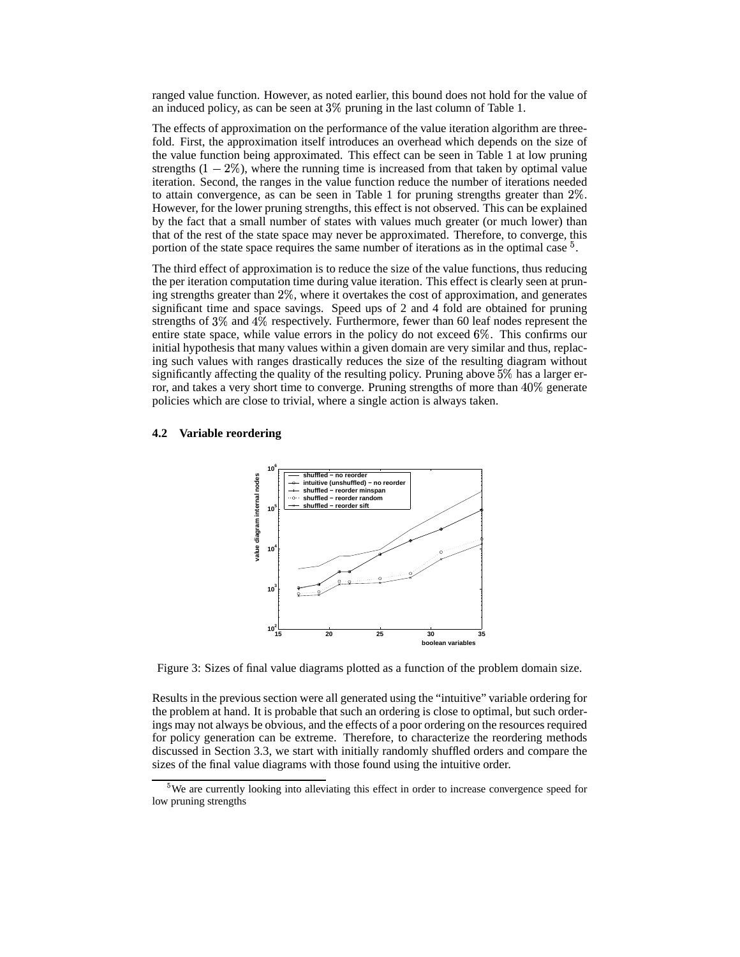ranged value function. However, as noted earlier, this bound does not hold for the value of an induced policy, as can be seen at  $3\%$  pruning in the last column of Table 1.

The effects of approximation on the performance of the value iteration algorithm are threefold. First, the approximation itself introduces an overhead which depends on the size of the value function being approximated. This effect can be seen in Table 1 at low pruning strengths  $(1 - 2\%)$ , where the running time is increased from that taken by optimal value iteration. Second, the ranges in the value function reduce the number of iterations needed to attain convergence, as can be seen in Table 1 for pruning strengths greater than  $2\%$ . However, for the lower pruning strengths, this effect is not observed. This can be explained by the fact that a small number of states with values much greater (or much lower) than that of the rest of the state space may never be approximated. Therefore, to converge, this portion of the state space requires the same number of iterations as in the optimal case  $5$ .

The third effect of approximation is to reduce the size of the value functions, thus reducing the per iteration computation time during value iteration. This effect is clearly seen at pruning strengths greater than  $2\%$ , where it overtakes the cost of approximation, and generates significant time and space savings. Speed ups of 2 and 4 fold are obtained for pruning strengths of  $3\%$  and  $4\%$  respectively. Furthermore, fewer than 60 leaf nodes represent the entire state space, while value errors in the policy do not exceed  $6\%$ . This confirms our initial hypothesis that many values within a given domain are very similar and thus, replacing such values with ranges drastically reduces the size of the resulting diagram without significantly affecting the quality of the resulting policy. Pruning above  $5\%$  has a larger error, and takes a very short time to converge. Pruning strengths of more than  $40\%$  generate policies which are close to trivial, where a single action is always taken.

#### **4.2 Variable reordering**



Figure 3: Sizes of final value diagrams plotted as a function of the problem domain size.

Results in the previous section were all generated using the "intuitive" variable ordering for the problem at hand. It is probable that such an ordering is close to optimal, but such orderings may not always be obvious, and the effects of a poor ordering on the resources required for policy generation can be extreme. Therefore, to characterize the reordering methods discussed in Section 3.3, we start with initially randomly shuffled orders and compare the sizes of the final value diagrams with those found using the intuitive order.

<sup>&</sup>lt;sup>5</sup>We are currently looking into alleviating this effect in order to increase convergence speed for low pruning strengths